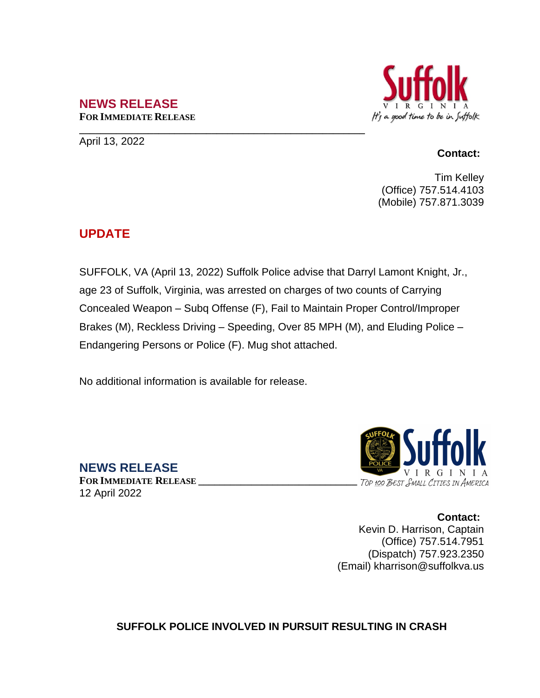## **NEWS RELEASE FOR IMMEDIATE RELEASE**

**\_\_\_\_\_\_\_\_\_\_\_\_\_\_\_\_\_\_\_\_\_\_\_\_\_\_\_\_\_\_\_\_\_\_\_\_\_\_\_\_\_\_\_\_\_\_\_\_\_\_\_\_\_\_** April 13, 2022

## It's a good time to be in Suffolk

## **Contact:**

Tim Kelley (Office) 757.514.4103 (Mobile) 757.871.3039

## **UPDATE**

SUFFOLK, VA (April 13, 2022) Suffolk Police advise that Darryl Lamont Knight, Jr., age 23 of Suffolk, Virginia, was arrested on charges of two counts of Carrying Concealed Weapon – Subq Offense (F), Fail to Maintain Proper Control/Improper Brakes (M), Reckless Driving – Speeding, Over 85 MPH (M), and Eluding Police – Endangering Persons or Police (F). Mug shot attached.

No additional information is available for release.

**NEWS RELEASE**

**FOR IMMEDIATE RELEASE \_\_\_\_\_\_\_\_\_\_\_\_\_\_\_\_\_\_\_\_\_\_\_\_\_\_\_\_\_\_** 12 April 2022



**Contact:** Kevin D. Harrison, Captain (Office) 757.514.7951 (Dispatch) 757.923.2350 (Email) kharrison@suffolkva.us

**SUFFOLK POLICE INVOLVED IN PURSUIT RESULTING IN CRASH**